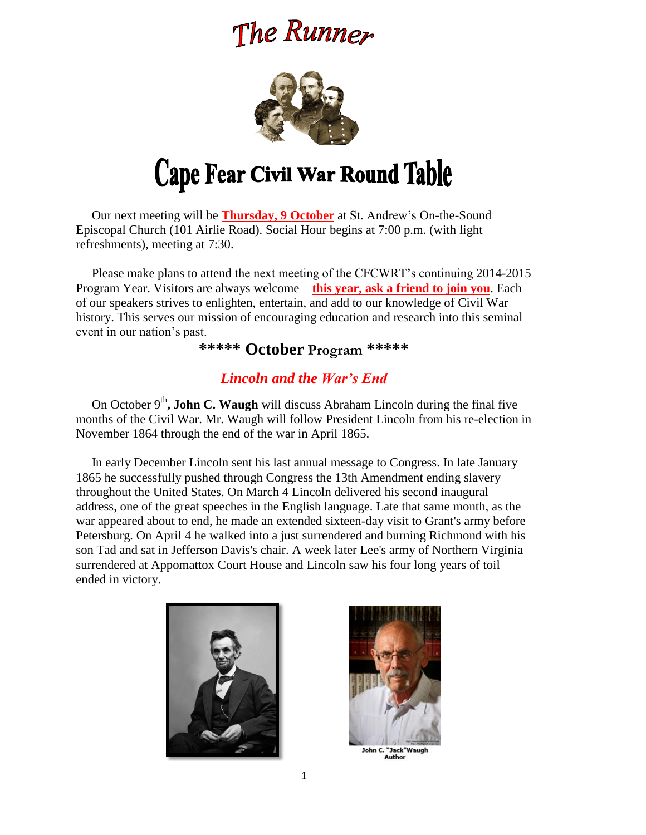# The Runner



 Our next meeting will be **Thursday, 9 October** at St. Andrew's On-the-Sound Episcopal Church (101 Airlie Road). Social Hour begins at 7:00 p.m. (with light refreshments), meeting at 7:30.

 Please make plans to attend the next meeting of the CFCWRT's continuing 2014-2015 Program Year. Visitors are always welcome – **this year, ask a friend to join you**. Each of our speakers strives to enlighten, entertain, and add to our knowledge of Civil War history. This serves our mission of encouraging education and research into this seminal event in our nation's past.

# **\*\*\*\*\* October Program \*\*\*\*\***

# *Lincoln and the War's End*

On October  $9<sup>th</sup>$ , **John C. Waugh** will discuss Abraham Lincoln during the final five months of the Civil War. Mr. Waugh will follow President Lincoln from his re-election in November 1864 through the end of the war in April 1865.

 In early December Lincoln sent his last annual message to Congress. In late January 1865 he successfully pushed through Congress the 13th Amendment ending slavery throughout the United States. On March 4 Lincoln delivered his second inaugural address, one of the great speeches in the English language. Late that same month, as the war appeared about to end, he made an extended sixteen-day visit to Grant's army before Petersburg. On April 4 he walked into a just surrendered and burning Richmond with his son Tad and sat in Jefferson Davis's chair. A week later Lee's army of Northern Virginia surrendered at Appomattox Court House and Lincoln saw his four long years of toil ended in victory.





John C. "Jack"Waug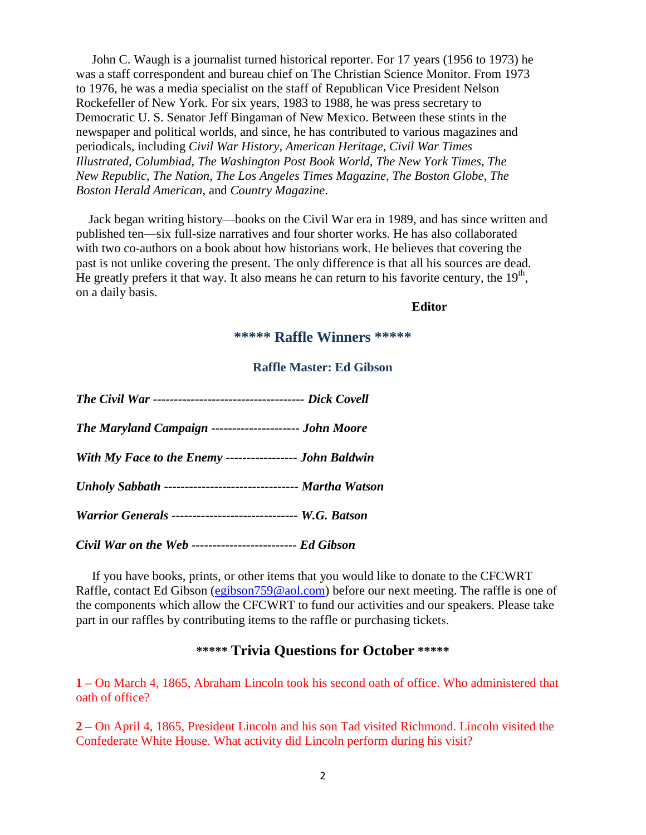John C. Waugh is a journalist turned historical reporter. For 17 years (1956 to 1973) he was a staff correspondent and bureau chief on The Christian Science Monitor. From 1973 to 1976, he was a media specialist on the staff of Republican Vice President Nelson Rockefeller of New York. For six years, 1983 to 1988, he was press secretary to Democratic U. S. Senator Jeff Bingaman of New Mexico. Between these stints in the newspaper and political worlds, and since, he has contributed to various magazines and periodicals, including *Civil War History, American Heritage, Civil War Times Illustrated, Columbiad, The Washington Post Book World, The New York Times, The New Republic, The Nation, The Los Angeles Times Magazine, The Boston Globe, The Boston Herald American*, and *Country Magazine*.

 Jack began writing history—books on the Civil War era in 1989, and has since written and published ten—six full-size narratives and four shorter works. He has also collaborated with two co-authors on a book about how historians work. He believes that covering the past is not unlike covering the present. The only difference is that all his sources are dead. He greatly prefers it that way. It also means he can return to his favorite century, the  $19<sup>th</sup>$ , on a daily basis.

#### **Editor**

## **\*\*\*\*\* Raffle Winners \*\*\*\*\***

#### **Raffle Master: Ed Gibson**

| The Maryland Campaign --------------------- John Moore        |
|---------------------------------------------------------------|
| With My Face to the Enemy ------------------- John Baldwin    |
| Unholy Sabbath -------------------------------- Martha Watson |
| Warrior Generals ------------------------------- W.G. Batson  |
|                                                               |

*Civil War on the Web ------------------------- Ed Gibson*

 If you have books, prints, or other items that you would like to donate to the CFCWRT Raffle, contact Ed Gibson [\(egibson759@aol.com\)](mailto:egibson759@aol.com) before our next meeting. The raffle is one of the components which allow the CFCWRT to fund our activities and our speakers. Please take part in our raffles by contributing items to the raffle or purchasing tickets.

# **\*\*\*\*\* Trivia Questions for October \*\*\*\*\***

**1 –** On March 4, 1865, Abraham Lincoln took his second oath of office. Who administered that oath of office?

**2 –** On April 4, 1865, President Lincoln and his son Tad visited Richmond. Lincoln visited the Confederate White House. What activity did Lincoln perform during his visit?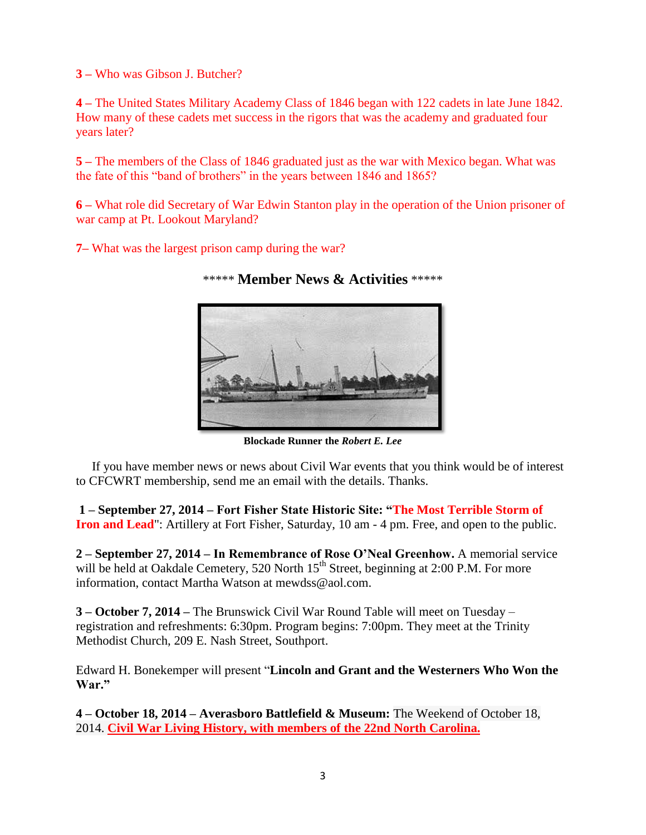**3 –** Who was Gibson J. Butcher?

**4 –** The United States Military Academy Class of 1846 began with 122 cadets in late June 1842. How many of these cadets met success in the rigors that was the academy and graduated four years later?

**5 –** The members of the Class of 1846 graduated just as the war with Mexico began. What was the fate of this "band of brothers" in the years between 1846 and 1865?

**6 –** What role did Secretary of War Edwin Stanton play in the operation of the Union prisoner of war camp at Pt. Lookout Maryland?

**7–** What was the largest prison camp during the war?



#### \*\*\*\*\* **Member News & Activities** \*\*\*\*\*

**Blockade Runner the** *Robert E. Lee*

 If you have member news or news about Civil War events that you think would be of interest to CFCWRT membership, send me an email with the details. Thanks.

**1 – September 27, 2014 – Fort Fisher State Historic Site: "The Most Terrible Storm of Iron and Lead**": Artillery at Fort Fisher, Saturday, 10 am - 4 pm. Free, and open to the public.

**2 – September 27, 2014 – In Remembrance of Rose O'Neal Greenhow.** A memorial service will be held at Oakdale Cemetery, 520 North 15<sup>th</sup> Street, beginning at 2:00 P.M. For more information, contact Martha Watson at mewdss@aol.com.

**3 – October 7, 2014 –** The Brunswick Civil War Round Table will meet on Tuesday – registration and refreshments: 6:30pm. Program begins: 7:00pm. They meet at the Trinity Methodist Church, 209 E. Nash Street, Southport.

Edward H. Bonekemper will present "**Lincoln and Grant and the Westerners Who Won the War."**

**4 – October 18, 2014 – Averasboro Battlefield & Museum:** The [Weekend](http://www.averasboro.com/Events/CivilWarLivingHistory.aspx) of October 18, 2014. **Civil War Living History, with members of the 22nd North [Carolina.](http://www.averasboro.com/Events/CivilWarLivingHistory.aspx)**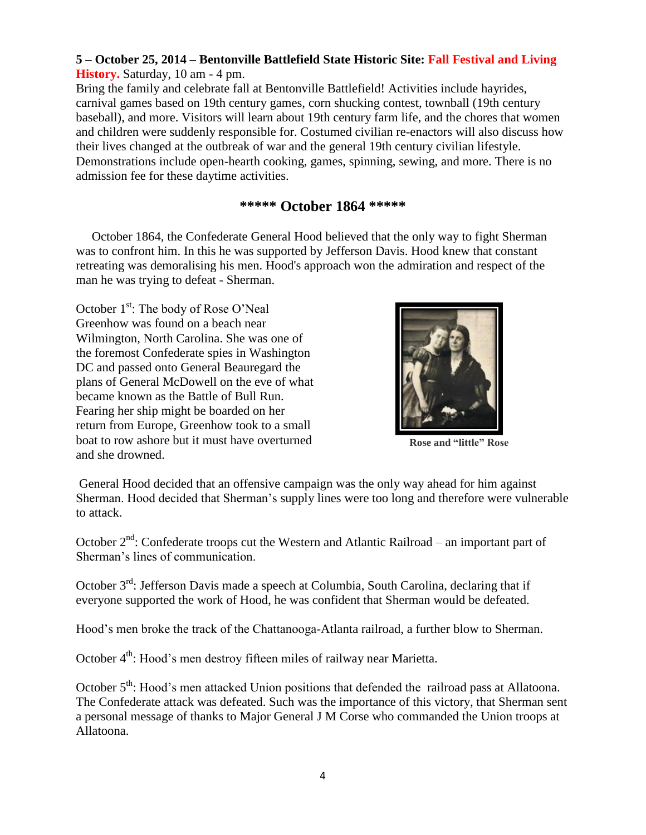# **5 – October 25, 2014 – Bentonville Battlefield State Historic Site: Fall Festival and Living History.** Saturday, 10 am - 4 pm.

Bring the family and celebrate fall at Bentonville Battlefield! Activities include hayrides, carnival games based on 19th century games, corn shucking contest, townball (19th century baseball), and more. Visitors will learn about 19th century farm life, and the chores that women and children were suddenly responsible for. Costumed civilian re-enactors will also discuss how their lives changed at the outbreak of war and the general 19th century civilian lifestyle. Demonstrations include open-hearth cooking, games, spinning, sewing, and more. There is no admission fee for these daytime activities.

# **\*\*\*\*\* October 1864 \*\*\*\*\***

 October 1864, the Confederate General Hood believed that the only way to fight Sherman was to confront him. In this he was supported by Jefferson Davis. Hood knew that constant retreating was demoralising his men. Hood's approach won the admiration and respect of the man he was trying to defeat - Sherman.

October 1<sup>st</sup>: The body of Rose O'Neal Greenhow was found on a beach near Wilmington, North Carolina. She was one of the foremost Confederate spies in Washington DC and passed onto General Beauregard the plans of General McDowell on the eve of what became known as the Battle of Bull Run. Fearing her ship might be boarded on her return from Europe, Greenhow took to a small boat to row ashore but it must have overturned and she drowned.



**Rose and "little" Rose**

General Hood decided that an offensive campaign was the only way ahead for him against Sherman. Hood decided that Sherman's supply lines were too long and therefore were vulnerable to attack.

October 2<sup>nd</sup>: Confederate troops cut the Western and Atlantic Railroad – an important part of Sherman's lines of communication.

October  $3<sup>rd</sup>$ : Jefferson Davis made a speech at Columbia, South Carolina, declaring that if everyone supported the work of Hood, he was confident that Sherman would be defeated.

Hood's men broke the track of the Chattanooga-Atlanta railroad, a further blow to Sherman.

October 4<sup>th</sup>: Hood's men destroy fifteen miles of railway near Marietta.

October 5<sup>th</sup>: Hood's men attacked Union positions that defended the railroad pass at Allatoona. The Confederate attack was defeated. Such was the importance of this victory, that Sherman sent a personal message of thanks to Major General J M Corse who commanded the Union troops at Allatoona.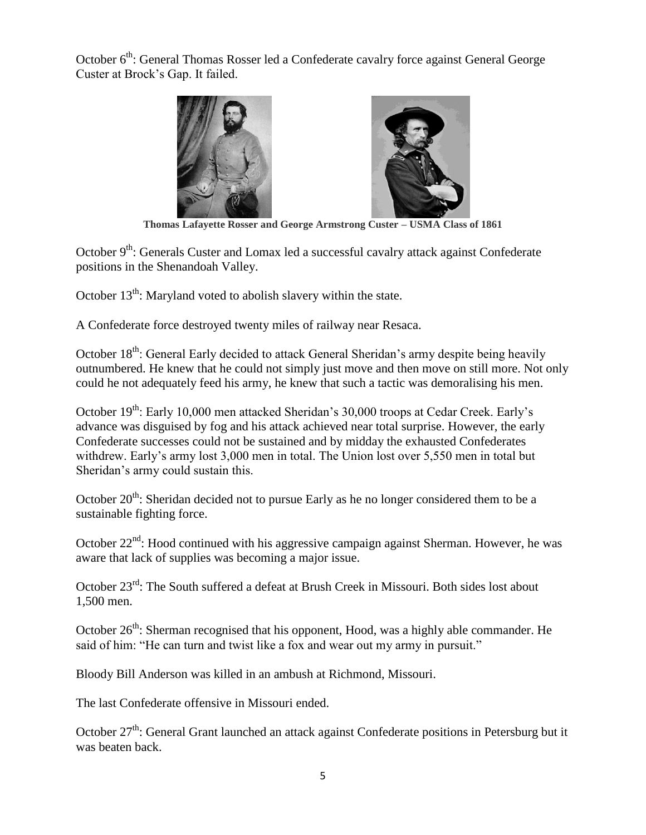October  $6<sup>th</sup>$ : General Thomas Rosser led a Confederate cavalry force against General George Custer at Brock's Gap. It failed.



**Thomas Lafayette Rosser and George Armstrong Custer – USMA Class of 1861**

October  $9<sup>th</sup>$ : Generals Custer and Lomax led a successful cavalry attack against Confederate positions in the Shenandoah Valley.

October  $13<sup>th</sup>$ : Maryland voted to abolish slavery within the state.

A Confederate force destroyed twenty miles of railway near Resaca.

October 18<sup>th</sup>: General Early decided to attack General Sheridan's army despite being heavily outnumbered. He knew that he could not simply just move and then move on still more. Not only could he not adequately feed his army, he knew that such a tactic was demoralising his men.

October  $19<sup>th</sup>$ : Early 10,000 men attacked Sheridan's 30,000 troops at Cedar Creek. Early's advance was disguised by fog and his attack achieved near total surprise. However, the early Confederate successes could not be sustained and by midday the exhausted Confederates withdrew. Early's army lost 3,000 men in total. The Union lost over 5,550 men in total but Sheridan's army could sustain this.

October 20<sup>th</sup>: Sheridan decided not to pursue Early as he no longer considered them to be a sustainable fighting force.

October  $22<sup>nd</sup>$ : Hood continued with his aggressive campaign against Sherman. However, he was aware that lack of supplies was becoming a major issue.

October 23<sup>rd</sup>: The South suffered a defeat at Brush Creek in Missouri. Both sides lost about 1,500 men.

October 26<sup>th</sup>: Sherman recognised that his opponent, Hood, was a highly able commander. He said of him: "He can turn and twist like a fox and wear out my army in pursuit."

Bloody Bill Anderson was killed in an ambush at Richmond, Missouri.

The last Confederate offensive in Missouri ended.

October 27<sup>th</sup>: General Grant launched an attack against Confederate positions in Petersburg but it was beaten back.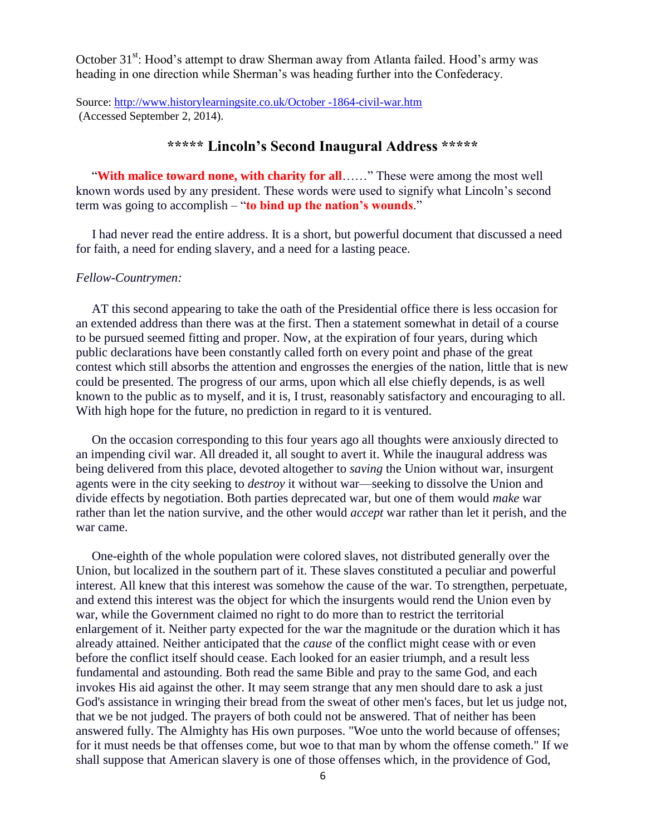October 31<sup>st</sup>: Hood's attempt to draw Sherman away from Atlanta failed. Hood's army was heading in one direction while Sherman's was heading further into the Confederacy.

Source: [http://www.historylearningsite.co.uk/October -1864-civil-war.htm](http://www.historylearningsite.co.uk/October%20-1864-civil-war.htm) (Accessed September 2, 2014).

# **\*\*\*\*\* Lincoln's Second Inaugural Address \*\*\*\*\***

 "**With malice toward none, with charity for all**……" These were among the most well known words used by any president. These words were used to signify what Lincoln's second term was going to accomplish – "**to bind up the nation's wounds**."

 I had never read the entire address. It is a short, but powerful document that discussed a need for faith, a need for ending slavery, and a need for a lasting peace.

#### *Fellow-Countrymen:*

 AT this second appearing to take the oath of the Presidential office there is less occasion for an extended address than there was at the first. Then a statement somewhat in detail of a course to be pursued seemed fitting and proper. Now, at the expiration of four years, during which public declarations have been constantly called forth on every point and phase of the great contest which still absorbs the attention and engrosses the energies of the nation, little that is new could be presented. The progress of our arms, upon which all else chiefly depends, is as well known to the public as to myself, and it is, I trust, reasonably satisfactory and encouraging to all. With high hope for the future, no prediction in regard to it is ventured.

 On the occasion corresponding to this four years ago all thoughts were anxiously directed to an impending civil war. All dreaded it, all sought to avert it. While the inaugural address was being delivered from this place, devoted altogether to *saving* the Union without war, insurgent agents were in the city seeking to *destroy* it without war—seeking to dissolve the Union and divide effects by negotiation. Both parties deprecated war, but one of them would *make* war rather than let the nation survive, and the other would *accept* war rather than let it perish, and the war came.

 One-eighth of the whole population were colored slaves, not distributed generally over the Union, but localized in the southern part of it. These slaves constituted a peculiar and powerful interest. All knew that this interest was somehow the cause of the war. To strengthen, perpetuate, and extend this interest was the object for which the insurgents would rend the Union even by war, while the Government claimed no right to do more than to restrict the territorial enlargement of it. Neither party expected for the war the magnitude or the duration which it has already attained. Neither anticipated that the *cause* of the conflict might cease with or even before the conflict itself should cease. Each looked for an easier triumph, and a result less fundamental and astounding. Both read the same Bible and pray to the same God, and each invokes His aid against the other. It may seem strange that any men should dare to ask a just God's assistance in wringing their bread from the sweat of other men's faces, but let us judge not, that we be not judged. The prayers of both could not be answered. That of neither has been answered fully. The Almighty has His own purposes. "Woe unto the world because of offenses; for it must needs be that offenses come, but woe to that man by whom the offense cometh." If we shall suppose that American slavery is one of those offenses which, in the providence of God,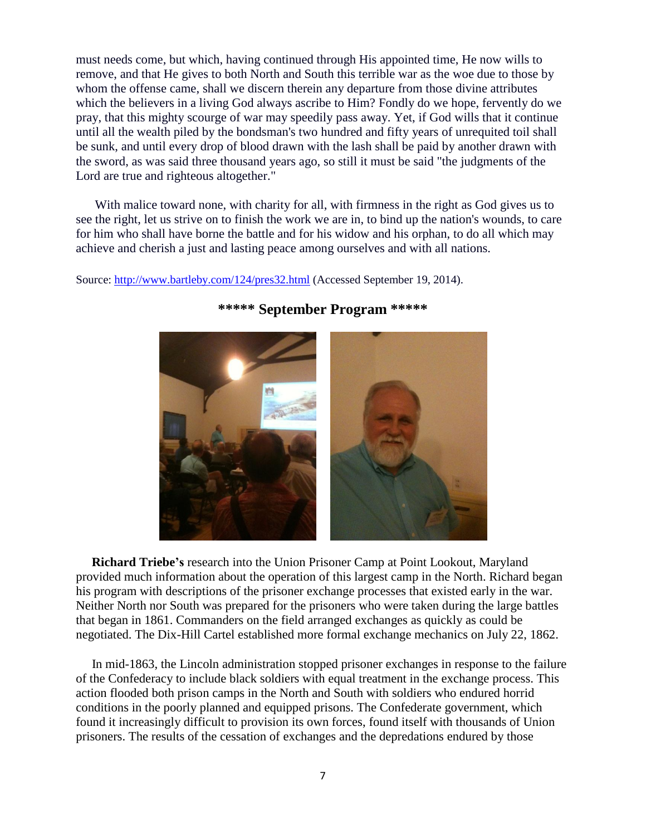must needs come, but which, having continued through His appointed time, He now wills to remove, and that He gives to both North and South this terrible war as the woe due to those by whom the offense came, shall we discern therein any departure from those divine attributes which the believers in a living God always ascribe to Him? Fondly do we hope, fervently do we pray, that this mighty scourge of war may speedily pass away. Yet, if God wills that it continue until all the wealth piled by the bondsman's two hundred and fifty years of unrequited toil shall be sunk, and until every drop of blood drawn with the lash shall be paid by another drawn with the sword, as was said three thousand years ago, so still it must be said "the judgments of the Lord are true and righteous altogether."

 With malice toward none, with charity for all, with firmness in the right as God gives us to see the right, let us strive on to finish the work we are in, to bind up the nation's wounds, to care for him who shall have borne the battle and for his widow and his orphan, to do all which may achieve and cherish a just and lasting peace among ourselves and with all nations.

Source:<http://www.bartleby.com/124/pres32.html> (Accessed September 19, 2014).



# **\*\*\*\*\* September Program \*\*\*\*\***

 **Richard Triebe's** research into the Union Prisoner Camp at Point Lookout, Maryland provided much information about the operation of this largest camp in the North. Richard began his program with descriptions of the prisoner exchange processes that existed early in the war. Neither North nor South was prepared for the prisoners who were taken during the large battles that began in 1861. Commanders on the field arranged exchanges as quickly as could be negotiated. The Dix-Hill Cartel established more formal exchange mechanics on July 22, 1862.

 In mid-1863, the Lincoln administration stopped prisoner exchanges in response to the failure of the Confederacy to include black soldiers with equal treatment in the exchange process. This action flooded both prison camps in the North and South with soldiers who endured horrid conditions in the poorly planned and equipped prisons. The Confederate government, which found it increasingly difficult to provision its own forces, found itself with thousands of Union prisoners. The results of the cessation of exchanges and the depredations endured by those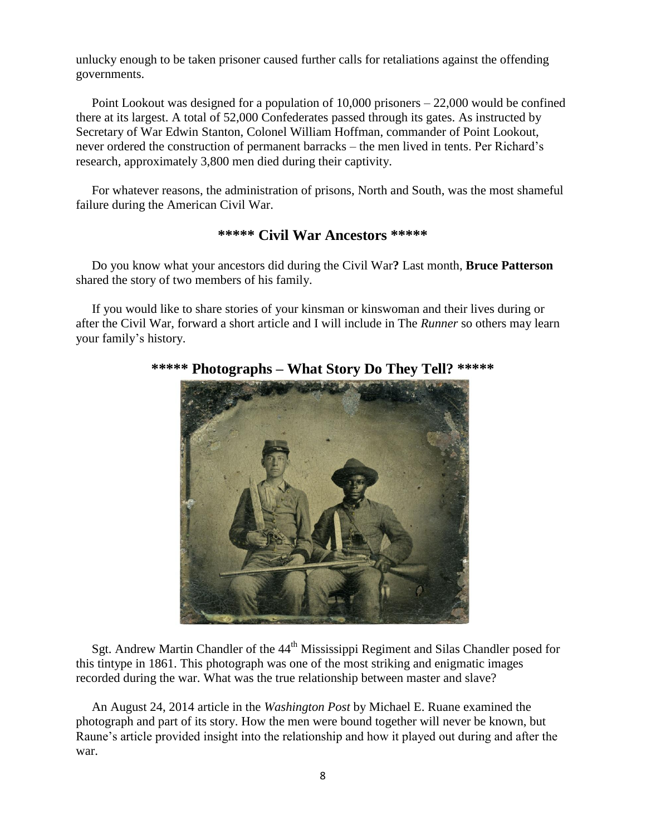unlucky enough to be taken prisoner caused further calls for retaliations against the offending governments.

 Point Lookout was designed for a population of 10,000 prisoners – 22,000 would be confined there at its largest. A total of 52,000 Confederates passed through its gates. As instructed by Secretary of War Edwin Stanton, Colonel William Hoffman, commander of Point Lookout, never ordered the construction of permanent barracks – the men lived in tents. Per Richard's research, approximately 3,800 men died during their captivity.

 For whatever reasons, the administration of prisons, North and South, was the most shameful failure during the American Civil War.

### **\*\*\*\*\* Civil War Ancestors \*\*\*\*\***

 Do you know what your ancestors did during the Civil War**?** Last month, **Bruce Patterson** shared the story of two members of his family.

 If you would like to share stories of your kinsman or kinswoman and their lives during or after the Civil War, forward a short article and I will include in The *Runner* so others may learn your family's history.



**\*\*\*\*\* Photographs – What Story Do They Tell? \*\*\*\*\***

Sgt. Andrew Martin Chandler of the 44<sup>th</sup> Mississippi Regiment and Silas Chandler posed for this tintype in 1861. This photograph was one of the most striking and enigmatic images recorded during the war. What was the true relationship between master and slave?

 An August 24, 2014 article in the *Washington Post* by Michael E. Ruane examined the photograph and part of its story. How the men were bound together will never be known, but Raune's article provided insight into the relationship and how it played out during and after the war.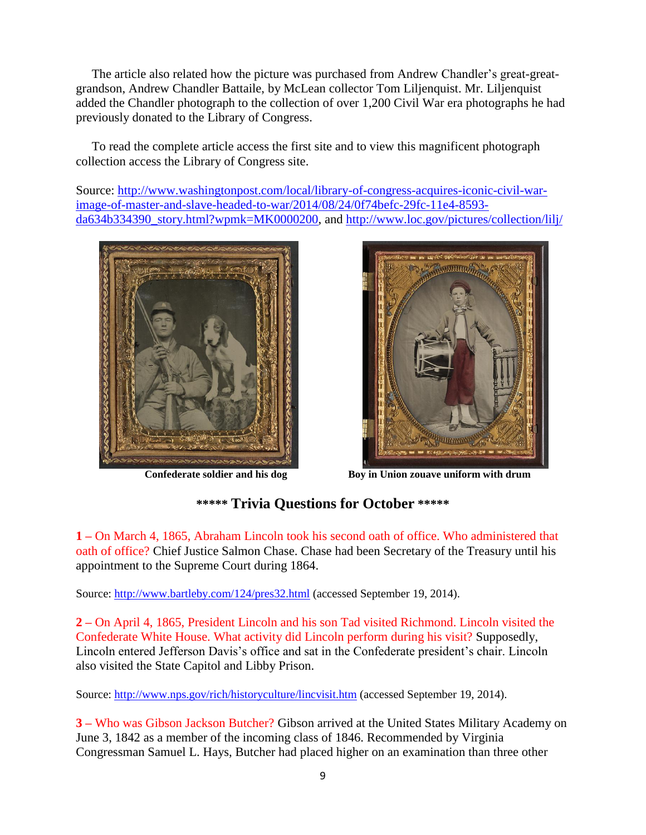The article also related how the picture was purchased from Andrew Chandler's great-greatgrandson, Andrew Chandler Battaile, by McLean collector Tom Liljenquist. Mr. Liljenquist added the Chandler photograph to the collection of over 1,200 Civil War era photographs he had previously donated to the Library of Congress.

 To read the complete article access the first site and to view this magnificent photograph collection access the Library of Congress site.

Source: [http://www.washingtonpost.com/local/library-of-congress-acquires-iconic-civil-war](http://www.washingtonpost.com/local/library-of-congress-acquires-iconic-civil-war-image-of-master-and-slave-headed-to-war/2014/08/24/0f74befc-29fc-11e4-8593-da634b334390_story.html?wpmk=MK0000200)[image-of-master-and-slave-headed-to-war/2014/08/24/0f74befc-29fc-11e4-8593](http://www.washingtonpost.com/local/library-of-congress-acquires-iconic-civil-war-image-of-master-and-slave-headed-to-war/2014/08/24/0f74befc-29fc-11e4-8593-da634b334390_story.html?wpmk=MK0000200) [da634b334390\\_story.html?wpmk=MK0000200,](http://www.washingtonpost.com/local/library-of-congress-acquires-iconic-civil-war-image-of-master-and-slave-headed-to-war/2014/08/24/0f74befc-29fc-11e4-8593-da634b334390_story.html?wpmk=MK0000200) and<http://www.loc.gov/pictures/collection/lilj/>





 **Confederate soldier and his dog Boy in Union zouave uniform with drum**

# **\*\*\*\*\* Trivia Questions for October \*\*\*\*\***

**1 –** On March 4, 1865, Abraham Lincoln took his second oath of office. Who administered that oath of office? Chief Justice Salmon Chase. Chase had been Secretary of the Treasury until his appointment to the Supreme Court during 1864.

Source:<http://www.bartleby.com/124/pres32.html> (accessed September 19, 2014).

**2 –** On April 4, 1865, President Lincoln and his son Tad visited Richmond. Lincoln visited the Confederate White House. What activity did Lincoln perform during his visit? Supposedly, Lincoln entered Jefferson Davis's office and sat in the Confederate president's chair. Lincoln also visited the State Capitol and Libby Prison.

Source:<http://www.nps.gov/rich/historyculture/lincvisit.htm> (accessed September 19, 2014).

**3 –** Who was Gibson Jackson Butcher? Gibson arrived at the United States Military Academy on June 3, 1842 as a member of the incoming class of 1846. Recommended by Virginia Congressman Samuel L. Hays, Butcher had placed higher on an examination than three other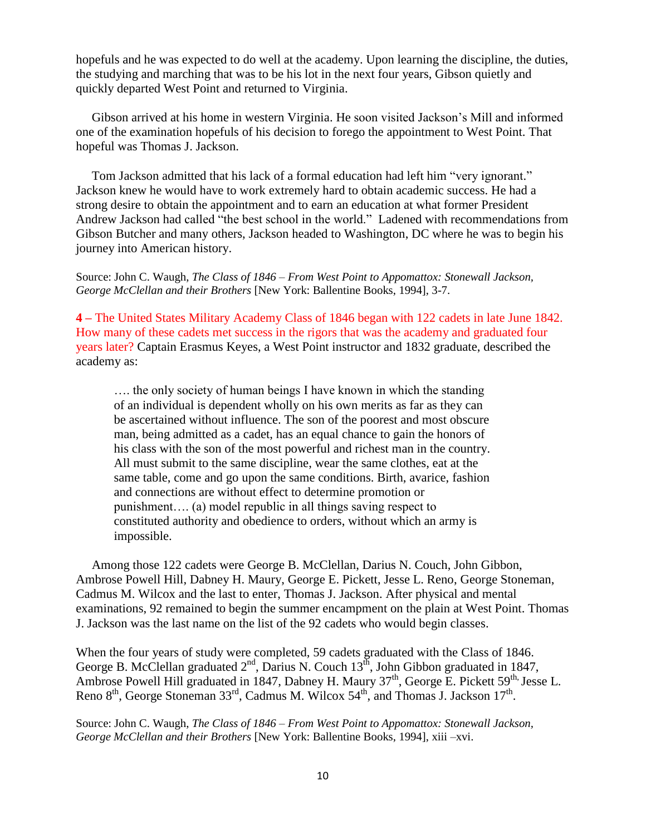hopefuls and he was expected to do well at the academy. Upon learning the discipline, the duties, the studying and marching that was to be his lot in the next four years, Gibson quietly and quickly departed West Point and returned to Virginia.

 Gibson arrived at his home in western Virginia. He soon visited Jackson's Mill and informed one of the examination hopefuls of his decision to forego the appointment to West Point. That hopeful was Thomas J. Jackson.

 Tom Jackson admitted that his lack of a formal education had left him "very ignorant." Jackson knew he would have to work extremely hard to obtain academic success. He had a strong desire to obtain the appointment and to earn an education at what former President Andrew Jackson had called "the best school in the world." Ladened with recommendations from Gibson Butcher and many others, Jackson headed to Washington, DC where he was to begin his journey into American history.

Source: John C. Waugh, *The Class of 1846 – From West Point to Appomattox: Stonewall Jackson, George McClellan and their Brothers* [New York: Ballentine Books, 1994], 3-7.

**4 –** The United States Military Academy Class of 1846 began with 122 cadets in late June 1842. How many of these cadets met success in the rigors that was the academy and graduated four years later? Captain Erasmus Keyes, a West Point instructor and 1832 graduate, described the academy as:

…. the only society of human beings I have known in which the standing of an individual is dependent wholly on his own merits as far as they can be ascertained without influence. The son of the poorest and most obscure man, being admitted as a cadet, has an equal chance to gain the honors of his class with the son of the most powerful and richest man in the country. All must submit to the same discipline, wear the same clothes, eat at the same table, come and go upon the same conditions. Birth, avarice, fashion and connections are without effect to determine promotion or punishment…. (a) model republic in all things saving respect to constituted authority and obedience to orders, without which an army is impossible.

 Among those 122 cadets were George B. McClellan, Darius N. Couch, John Gibbon, Ambrose Powell Hill, Dabney H. Maury, George E. Pickett, Jesse L. Reno, George Stoneman, Cadmus M. Wilcox and the last to enter, Thomas J. Jackson. After physical and mental examinations, 92 remained to begin the summer encampment on the plain at West Point. Thomas J. Jackson was the last name on the list of the 92 cadets who would begin classes.

When the four years of study were completed, 59 cadets graduated with the Class of 1846. George B. McClellan graduated  $2<sup>nd</sup>$ , Darius N. Couch  $13<sup>th</sup>$ , John Gibbon graduated in 1847, Ambrose Powell Hill graduated in 1847, Dabney H. Maury 37<sup>th</sup>, George E. Pickett 59<sup>th,</sup> Jesse L. Reno  $8<sup>th</sup>$ , George Stoneman 33<sup>rd</sup>, Cadmus M. Wilcox 54<sup>th</sup>, and Thomas J. Jackson 17<sup>th</sup>.

Source: John C. Waugh, *The Class of 1846 – From West Point to Appomattox: Stonewall Jackson, George McClellan and their Brothers* [New York: Ballentine Books, 1994], xiii –xvi.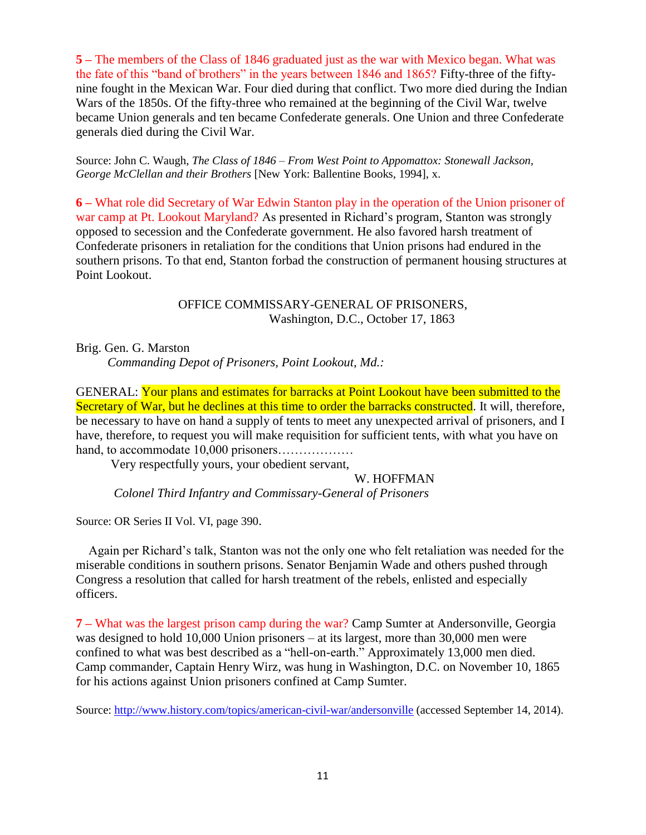**5 –** The members of the Class of 1846 graduated just as the war with Mexico began. What was the fate of this "band of brothers" in the years between 1846 and 1865? Fifty-three of the fiftynine fought in the Mexican War. Four died during that conflict. Two more died during the Indian Wars of the 1850s. Of the fifty-three who remained at the beginning of the Civil War, twelve became Union generals and ten became Confederate generals. One Union and three Confederate generals died during the Civil War.

Source: John C. Waugh, *The Class of 1846 – From West Point to Appomattox: Stonewall Jackson, George McClellan and their Brothers* [New York: Ballentine Books, 1994], x.

**6 –** What role did Secretary of War Edwin Stanton play in the operation of the Union prisoner of war camp at Pt. Lookout Maryland? As presented in Richard's program, Stanton was strongly opposed to secession and the Confederate government. He also favored harsh treatment of Confederate prisoners in retaliation for the conditions that Union prisons had endured in the southern prisons. To that end, Stanton forbad the construction of permanent housing structures at Point Lookout.

> OFFICE COMMISSARY-GENERAL OF PRISONERS, Washington, D.C., October 17, 1863

Brig. Gen. G. Marston *Commanding Depot of Prisoners, Point Lookout, Md.:*

GENERAL: Your plans and estimates for barracks at Point Lookout have been submitted to the Secretary of War, but he declines at this time to order the barracks constructed. It will, therefore, be necessary to have on hand a supply of tents to meet any unexpected arrival of prisoners, and I have, therefore, to request you will make requisition for sufficient tents, with what you have on hand, to accommodate 10,000 prisoners………………

Very respectfully yours, your obedient servant,

W. HOFFMAN

*Colonel Third Infantry and Commissary-General of Prisoners*

Source: OR Series II Vol. VI, page 390.

 Again per Richard's talk, Stanton was not the only one who felt retaliation was needed for the miserable conditions in southern prisons. Senator Benjamin Wade and others pushed through Congress a resolution that called for harsh treatment of the rebels, enlisted and especially officers.

**7 –** What was the largest prison camp during the war? Camp Sumter at Andersonville, Georgia was designed to hold 10,000 Union prisoners – at its largest, more than 30,000 men were confined to what was best described as a "hell-on-earth." Approximately 13,000 men died. Camp commander, Captain Henry Wirz, was hung in Washington, D.C. on November 10, 1865 for his actions against Union prisoners confined at Camp Sumter.

Source:<http://www.history.com/topics/american-civil-war/andersonville> (accessed September 14, 2014).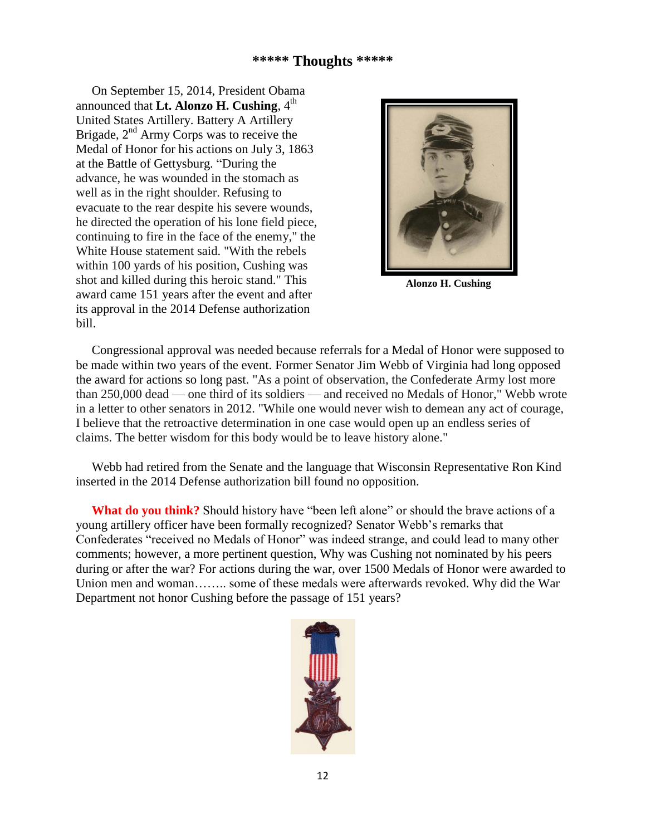# **\*\*\*\*\* Thoughts \*\*\*\*\***

 On September 15, 2014, President Obama announced that **Lt. Alonzo H. Cushing**,  $4<sup>th</sup>$ United States Artillery. Battery A Artillery Brigade,  $2<sup>nd</sup>$  Army Corps was to receive the Medal of Honor for his actions on July 3, 1863 at the Battle of Gettysburg. "During the advance, he was wounded in the stomach as well as in the right shoulder. Refusing to evacuate to the rear despite his severe wounds, he directed the operation of his lone field piece, continuing to fire in the face of the enemy," the White House statement said. "With the rebels within 100 yards of his position, Cushing was shot and killed during this heroic stand." This award came 151 years after the event and after its approval in the 2014 Defense authorization bill.



**Alonzo H. Cushing**

 Congressional approval was needed because referrals for a Medal of Honor were supposed to be made within two years of the event. Former Senator Jim Webb of Virginia had long opposed the award for actions so long past. "As a point of observation, the Confederate Army lost more than 250,000 dead — one third of its soldiers — and received no Medals of Honor," Webb wrote in a letter to other senators in 2012. "While one would never wish to demean any act of courage, I believe that the retroactive determination in one case would open up an endless series of claims. The better wisdom for this body would be to leave history alone."

 Webb had retired from the Senate and the language that Wisconsin Representative Ron Kind inserted in the 2014 Defense authorization bill found no opposition.

**What do you think?** Should history have "been left alone" or should the brave actions of a young artillery officer have been formally recognized? Senator Webb's remarks that Confederates "received no Medals of Honor" was indeed strange, and could lead to many other comments; however, a more pertinent question, Why was Cushing not nominated by his peers during or after the war? For actions during the war, over 1500 Medals of Honor were awarded to Union men and woman…….. some of these medals were afterwards revoked. Why did the War Department not honor Cushing before the passage of 151 years?